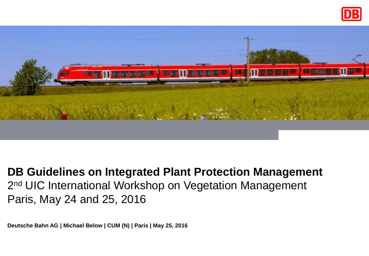



## **DB Guidelines on Integrated Plant Protection Management** 2<sup>nd</sup> UIC International Workshop on Vegetation Management Paris, May 24 and 25, 2016

**Deutsche Bahn AG | Michael Below | CUM (N) | Paris | May 25, 2016**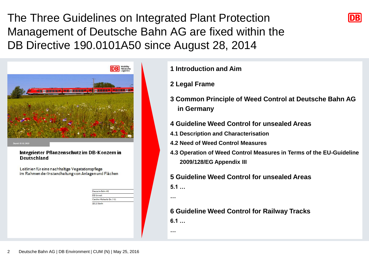The Three Guidelines on Integrated Plant Protection Management of Deutsche Bahn AG are fixed within the DB Directive 190.0101A50 since August 28, 2014



and, BC 02, 2011

#### Integrierter Pflanzenschutz im DB-Konzern in **Deutschland**

Leitlinien für eine nachhaltige Vegetationspflege im Rahmen der Instandhaltung von Anlagen und Flächen

> Dautsche Rahn AC DR Umwelt Caroline-Michaelis-Str. 5-11 10115 Berlin

**1 Introduction and Aim**

#### **2 Legal Frame**

- **3 Common Principle of Weed Control at Deutsche Bahn AG in Germany**
- **4 Guideline Weed Control for unsealed Areas**
- **4.1 Description and Characterisation**
- **4.2 Need of Weed Control Measures**
- **4.3 Operation of Weed Control Measures in Terms of the EU-Guideline 2009/128/EG Appendix III**

#### **5 Guideline Weed Control for unsealed Areas 5.1 …**

**…**

#### **6 Guideline Weed Control for Railway Tracks**

**6.1 …**

**…**

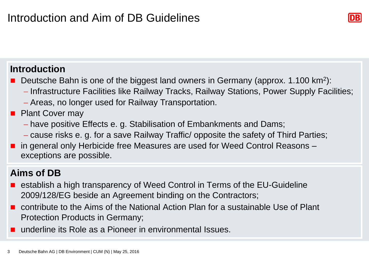### **Introduction**

- Deutsche Bahn is one of the biggest land owners in Germany (approx. 1.100 km<sup>2</sup>):
	- Infrastructure Facilities like Railway Tracks, Railway Stations, Power Supply Facilities;
	- Areas, no longer used for Railway Transportation.

### **Plant Cover may**

- have positive Effects e. g. Stabilisation of Embankments and Dams;
- cause risks e. g. for a save Railway Traffic/ opposite the safety of Third Parties;
- in general only Herbicide free Measures are used for Weed Control Reasons exceptions are possible.

## **Aims of DB**

- establish a high transparency of Weed Control in Terms of the EU-Guideline 2009/128/EG beside an Agreement binding on the Contractors;
- contribute to the Aims of the National Action Plan for a sustainable Use of Plant Protection Products in Germany;
- underline its Role as a Pioneer in environmental Issues.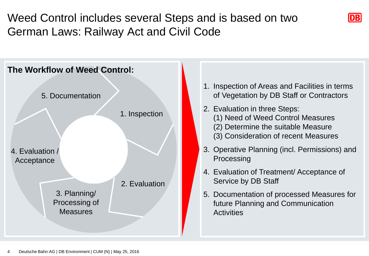# Weed Control includes several Steps and is based on two German Laws: Railway Act and Civil Code





- 1. Inspection of Areas and Facilities in terms of Vegetation by DB Staff or Contractors
- 2. Evaluation in three Steps: (1) Need of Weed Control Measures (2) Determine the suitable Measure (3) Consideration of recent Measures
- 3. Operative Planning (incl. Permissions) and **Processing**
- 4. Evaluation of Treatment/ Acceptance of Service by DB Staff
- 5. Documentation of processed Measures for future Planning and Communication **Activities**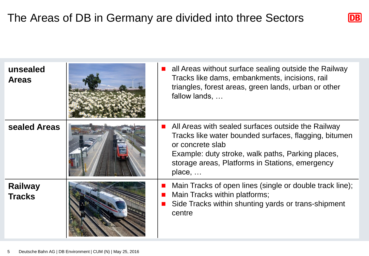## The Areas of DB in Germany are divided into three Sectors



| unsealed<br><b>Areas</b>        | all Areas without surface sealing outside the Railway<br>Tracks like dams, embankments, incisions, rail<br>triangles, forest areas, green lands, urban or other<br>fallow lands,                                                                          |
|---------------------------------|-----------------------------------------------------------------------------------------------------------------------------------------------------------------------------------------------------------------------------------------------------------|
| sealed Areas                    | All Areas with sealed surfaces outside the Railway<br>Tracks like water bounded surfaces, flagging, bitumen<br>or concrete slab<br>Example: duty stroke, walk paths, Parking places,<br>storage areas, Platforms in Stations, emergency<br>place, $\dots$ |
| <b>Railway</b><br><b>Tracks</b> | Main Tracks of open lines (single or double track line);<br>Main Tracks within platforms;<br>Side Tracks within shunting yards or trans-shipment<br>centre                                                                                                |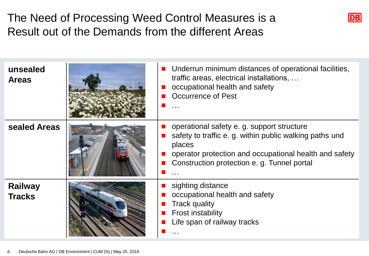# The Need of Processing Weed Control Measures is a Result out of the Demands from the different Areas



| unsealed<br><b>Areas</b>        | ■ Underrun minimum distances of operational facilities,<br>traffic areas, electrical installations,<br>occupational health and safety<br>Occurrence of Pest                                                             |
|---------------------------------|-------------------------------------------------------------------------------------------------------------------------------------------------------------------------------------------------------------------------|
| sealed Areas                    | operational safety e.g. support structure<br>safety to traffic e. g. within public walking paths und<br>places<br>operator protection and occupational health and safety<br>Construction protection e. g. Tunnel portal |
| <b>Railway</b><br><b>Tracks</b> | sighting distance<br>occupational health and safety<br><b>Track quality</b><br><b>Frost instability</b><br>Life span of railway tracks                                                                                  |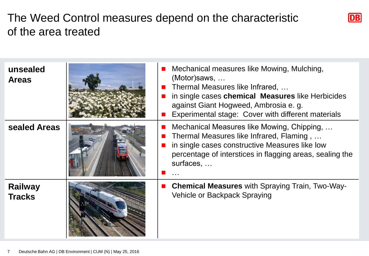## The Weed Control measures depend on the characteristic of the area treated

| unsealed<br><b>Areas</b>        | Mechanical measures like Mowing, Mulching,<br>(Motor) saws,<br>Thermal Measures like Infrared,<br>in single cases chemical Measures like Herbicides<br>against Giant Hogweed, Ambrosia e. g.<br>Experimental stage: Cover with different materials |
|---------------------------------|----------------------------------------------------------------------------------------------------------------------------------------------------------------------------------------------------------------------------------------------------|
| sealed Areas                    | Mechanical Measures like Mowing, Chipping,<br>Thermal Measures like Infrared, Flaming,<br>in single cases constructive Measures like low<br>percentage of interstices in flagging areas, sealing the<br>surfaces,                                  |
| <b>Railway</b><br><b>Tracks</b> | <b>Chemical Measures</b> with Spraying Train, Two-Way-<br>Vehicle or Backpack Spraying                                                                                                                                                             |

 $DB$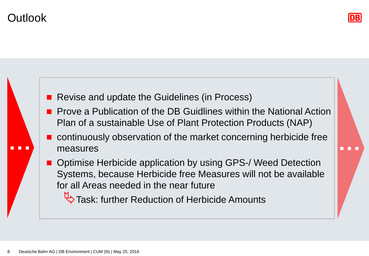